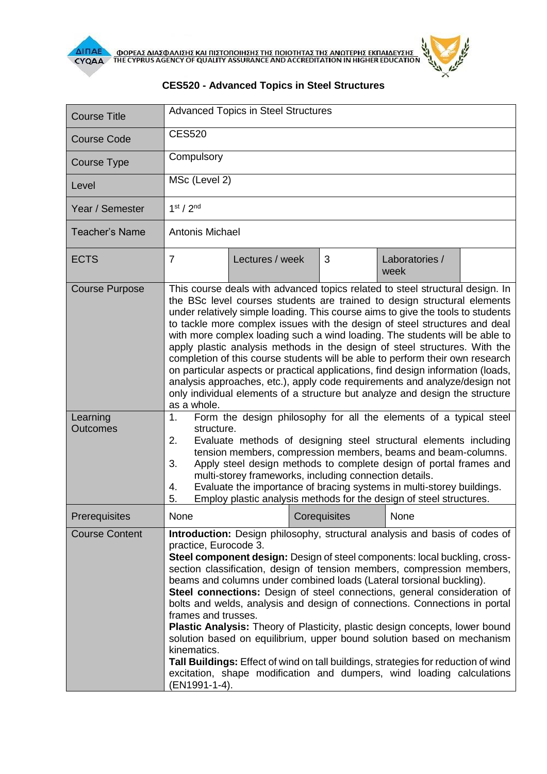

| <b>Course Title</b>                           | <b>Advanced Topics in Steel Structures</b>                                                                                                                                                                                                                                                                                                                                                                                                                                                                                                                                                                                                                                                                                                                                                                                                                                                                                                                                                                     |                 |  |              |                        |  |
|-----------------------------------------------|----------------------------------------------------------------------------------------------------------------------------------------------------------------------------------------------------------------------------------------------------------------------------------------------------------------------------------------------------------------------------------------------------------------------------------------------------------------------------------------------------------------------------------------------------------------------------------------------------------------------------------------------------------------------------------------------------------------------------------------------------------------------------------------------------------------------------------------------------------------------------------------------------------------------------------------------------------------------------------------------------------------|-----------------|--|--------------|------------------------|--|
| <b>Course Code</b>                            | <b>CES520</b>                                                                                                                                                                                                                                                                                                                                                                                                                                                                                                                                                                                                                                                                                                                                                                                                                                                                                                                                                                                                  |                 |  |              |                        |  |
| Course Type                                   | Compulsory                                                                                                                                                                                                                                                                                                                                                                                                                                                                                                                                                                                                                                                                                                                                                                                                                                                                                                                                                                                                     |                 |  |              |                        |  |
| Level                                         | MSc (Level 2)                                                                                                                                                                                                                                                                                                                                                                                                                                                                                                                                                                                                                                                                                                                                                                                                                                                                                                                                                                                                  |                 |  |              |                        |  |
| Year / Semester                               | 1 <sup>st</sup> / 2 <sup>nd</sup>                                                                                                                                                                                                                                                                                                                                                                                                                                                                                                                                                                                                                                                                                                                                                                                                                                                                                                                                                                              |                 |  |              |                        |  |
| <b>Teacher's Name</b>                         | <b>Antonis Michael</b>                                                                                                                                                                                                                                                                                                                                                                                                                                                                                                                                                                                                                                                                                                                                                                                                                                                                                                                                                                                         |                 |  |              |                        |  |
| <b>ECTS</b>                                   | $\overline{7}$                                                                                                                                                                                                                                                                                                                                                                                                                                                                                                                                                                                                                                                                                                                                                                                                                                                                                                                                                                                                 | Lectures / week |  | 3            | Laboratories /<br>week |  |
| <b>Course Purpose</b><br>Learning<br>Outcomes | This course deals with advanced topics related to steel structural design. In<br>the BSc level courses students are trained to design structural elements<br>under relatively simple loading. This course aims to give the tools to students<br>to tackle more complex issues with the design of steel structures and deal<br>with more complex loading such a wind loading. The students will be able to<br>apply plastic analysis methods in the design of steel structures. With the<br>completion of this course students will be able to perform their own research<br>on particular aspects or practical applications, find design information (loads,<br>analysis approaches, etc.), apply code requirements and analyze/design not<br>only individual elements of a structure but analyze and design the structure<br>as a whole.<br>Form the design philosophy for all the elements of a typical steel<br>1.<br>structure.<br>Evaluate methods of designing steel structural elements including<br>2. |                 |  |              |                        |  |
|                                               | tension members, compression members, beams and beam-columns.<br>Apply steel design methods to complete design of portal frames and<br>3.<br>multi-storey frameworks, including connection details.<br>Evaluate the importance of bracing systems in multi-storey buildings.<br>4.<br>Employ plastic analysis methods for the design of steel structures.<br>5.                                                                                                                                                                                                                                                                                                                                                                                                                                                                                                                                                                                                                                                |                 |  |              |                        |  |
| Prerequisites                                 | None                                                                                                                                                                                                                                                                                                                                                                                                                                                                                                                                                                                                                                                                                                                                                                                                                                                                                                                                                                                                           |                 |  | Corequisites | None                   |  |
| <b>Course Content</b>                         | Introduction: Design philosophy, structural analysis and basis of codes of<br>practice, Eurocode 3.<br>Steel component design: Design of steel components: local buckling, cross-<br>section classification, design of tension members, compression members,<br>beams and columns under combined loads (Lateral torsional buckling).<br>Steel connections: Design of steel connections, general consideration of<br>bolts and welds, analysis and design of connections. Connections in portal<br>frames and trusses.<br><b>Plastic Analysis:</b> Theory of Plasticity, plastic design concepts, lower bound<br>solution based on equilibrium, upper bound solution based on mechanism<br>kinematics.<br>Tall Buildings: Effect of wind on tall buildings, strategies for reduction of wind<br>excitation, shape modification and dumpers, wind loading calculations<br>(EN1991-1-4).                                                                                                                          |                 |  |              |                        |  |

## **CES520 - Advanced Topics in Steel Structures**